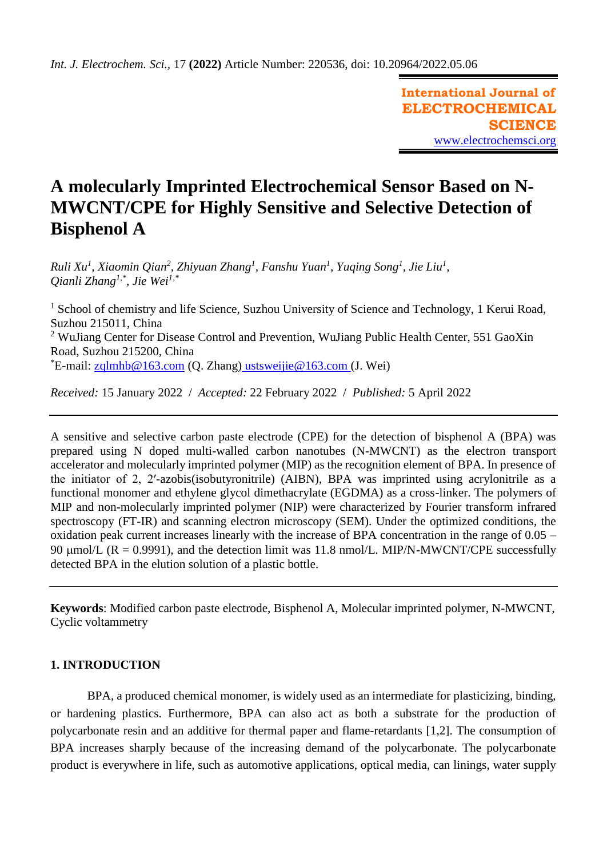**International Journal of ELECTROCHEMICAL SCIENCE** [www.electrochemsci.org](http://www.electrochemsci.org/)

# **A molecularly Imprinted Electrochemical Sensor Based on N-MWCNT/CPE for Highly Sensitive and Selective Detection of Bisphenol A**

*Ruli Xu<sup>1</sup> , Xiaomin Qian<sup>2</sup> , Zhiyuan Zhang<sup>1</sup> , Fanshu Yuan<sup>1</sup> , Yuqing Song<sup>1</sup> , Jie Liu<sup>1</sup> , Qianli Zhang1,\* , Jie Wei1,\**

<sup>1</sup> School of chemistry and life Science, Suzhou University of Science and Technology, 1 Kerui Road, Suzhou 215011, China <sup>2</sup> WuJiang Center for Disease Control and Prevention, WuJiang Public Health Center, 551 GaoXin Road, Suzhou 215200, China  $E$ -mail: [zqlmhb@163.com](mailto:zqlmhb@163.com) (Q. Zhang) [ustsweijie@163.com](mailto:ustsweijie@163.com) (J. Wei)

*Received:* 15 January 2022/ *Accepted:* 22 February 2022 / *Published:* 5 April 2022

A sensitive and selective carbon paste electrode (CPE) for the detection of bisphenol A (BPA) was prepared using N doped multi-walled carbon nanotubes (N-MWCNT) as the electron transport accelerator and molecularly imprinted polymer (MIP) as the recognition element of BPA. In presence of the initiator of 2, 2′-azobis(isobutyronitrile) (AIBN), BPA was imprinted using acrylonitrile as a functional monomer and ethylene glycol dimethacrylate (EGDMA) as a cross-linker. The polymers of MIP and non-molecularly imprinted polymer (NIP) were characterized by Fourier transform infrared spectroscopy (FT-IR) and scanning electron microscopy (SEM). Under the optimized conditions, the oxidation peak current increases linearly with the increase of BPA concentration in the range of 0.05 – 90  $\mu$ mol/L (R = 0.9991), and the detection limit was 11.8 nmol/L. MIP/N-MWCNT/CPE successfully detected BPA in the elution solution of a plastic bottle.

**Keywords**: Modified carbon paste electrode, Bisphenol A, Molecular imprinted polymer, N-MWCNT, Cyclic voltammetry

# **1. INTRODUCTION**

BPA, a produced chemical monomer, is widely used as an intermediate for plasticizing, binding, or hardening plastics. Furthermore, BPA can also act as both a substrate for the production of polycarbonate resin and an additive for thermal paper and flame-retardants [1,2]. The consumption of BPA increases sharply because of the increasing demand of the polycarbonate. The polycarbonate product is everywhere in life, such as automotive applications, optical media, can linings, water supply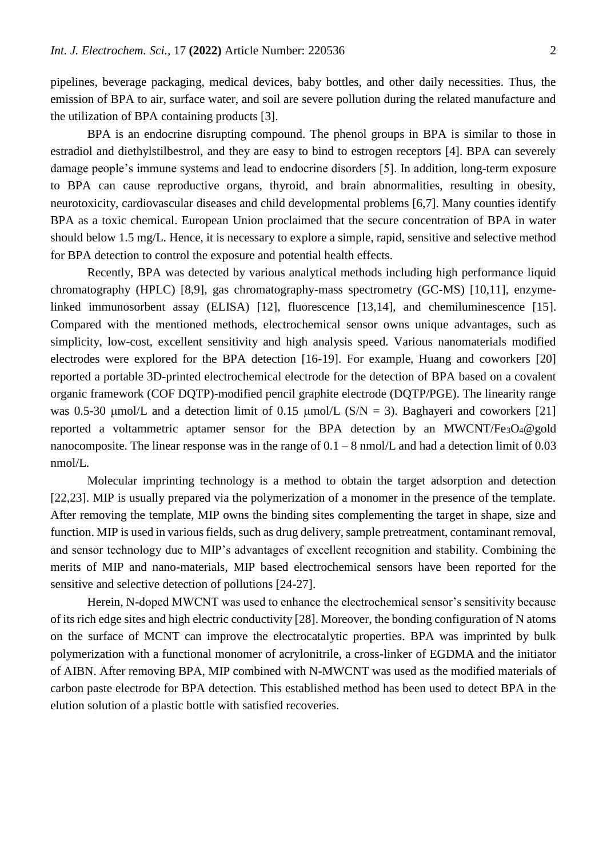pipelines, beverage packaging, medical devices, baby bottles, and other daily necessities. Thus, the emission of BPA to air, surface water, and soil are severe pollution during the related manufacture and the utilization of BPA containing products [3].

BPA is an endocrine disrupting compound. The phenol groups in BPA is similar to those in estradiol and diethylstilbestrol, and they are easy to bind to estrogen receptors [4]. BPA can severely damage people's immune systems and lead to endocrine disorders [5]. In addition, long-term exposure to BPA can cause reproductive organs, thyroid, and brain abnormalities, resulting in obesity, neurotoxicity, cardiovascular diseases and child developmental problems [6,7]. Many counties identify BPA as a toxic chemical. European Union proclaimed that the secure concentration of BPA in water should below 1.5 mg/L. Hence, it is necessary to explore a simple, rapid, sensitive and selective method for BPA detection to control the exposure and potential health effects.

Recently, BPA was detected by various analytical methods including high performance liquid chromatography (HPLC) [8,9], gas chromatography-mass spectrometry (GC-MS) [10,11], enzymelinked immunosorbent assay (ELISA) [12], fluorescence [13,14], and chemiluminescence [15]. Compared with the mentioned methods, electrochemical sensor owns unique advantages, such as simplicity, low-cost, excellent sensitivity and high analysis speed. Various nanomaterials modified electrodes were explored for the BPA detection [16-19]. For example, Huang and coworkers [20] reported a portable 3D-printed electrochemical electrode for the detection of BPA based on a covalent organic framework (COF DQTP)-modified pencil graphite electrode (DQTP/PGE). The linearity range was 0.5-30  $\mu$ mol/L and a detection limit of 0.15  $\mu$ mol/L (S/N = 3). Baghayeri and coworkers [21] reported a voltammetric aptamer sensor for the BPA detection by an MWCNT/Fe3O4@gold nanocomposite. The linear response was in the range of  $0.1 - 8$  nmol/L and had a detection limit of 0.03 nmol/L.

Molecular imprinting technology is a method to obtain the target adsorption and detection [22,23]. MIP is usually prepared via the polymerization of a monomer in the presence of the template. After removing the template, MIP owns the binding sites complementing the target in shape, size and function. MIP is used in various fields, such as drug delivery, sample pretreatment, contaminant removal, and sensor technology due to MIP's advantages of excellent recognition and stability. Combining the merits of MIP and nano-materials, MIP based electrochemical sensors have been reported for the sensitive and selective detection of pollutions [24-27].

Herein, N-doped MWCNT was used to enhance the electrochemical sensor's sensitivity because of its rich edge sites and high electric conductivity [28]. Moreover, the bonding configuration of N atoms on the surface of MCNT can improve the electrocatalytic properties. BPA was imprinted by bulk polymerization with a functional monomer of acrylonitrile, a cross-linker of EGDMA and the initiator of AIBN. After removing BPA, MIP combined with N-MWCNT was used as the modified materials of carbon paste electrode for BPA detection. This established method has been used to detect BPA in the elution solution of a plastic bottle with satisfied recoveries.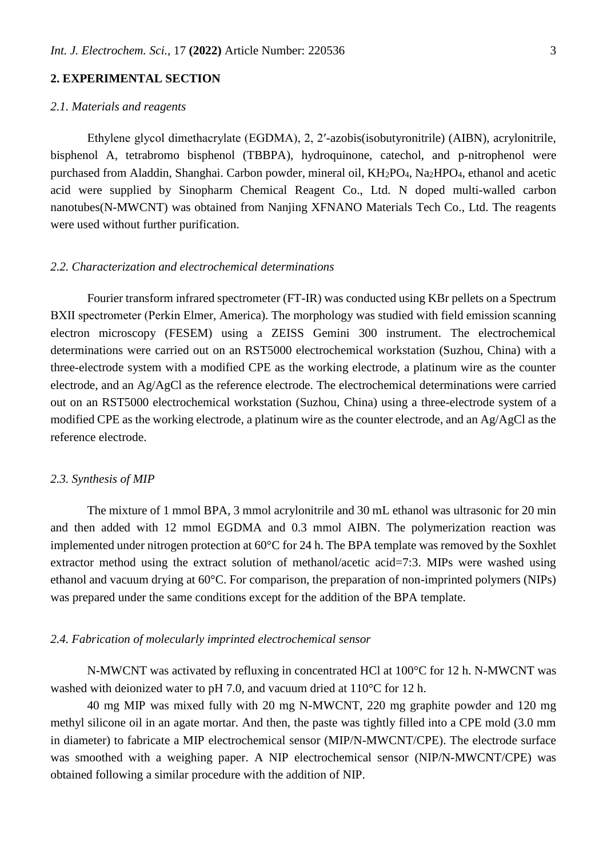# **2. EXPERIMENTAL SECTION**

## *2.1. Materials and reagents*

Ethylene glycol dimethacrylate (EGDMA), 2, 2′-azobis(isobutyronitrile) (AIBN), acrylonitrile, bisphenol A, tetrabromo bisphenol (TBBPA), hydroquinone, catechol, and p-nitrophenol were purchased from Aladdin, Shanghai. Carbon powder, mineral oil, KH2PO4, Na2HPO4, ethanol and acetic acid were supplied by Sinopharm Chemical Reagent Co., Ltd. N doped multi-walled carbon nanotubes(N-MWCNT) was obtained from Nanjing XFNANO Materials Tech Co., Ltd. The reagents were used without further purification.

## *2.2. Characterization and electrochemical determinations*

Fourier transform infrared spectrometer (FT-IR) was conducted using KBr pellets on a Spectrum BXⅡ spectrometer (Perkin Elmer, America). The morphology was studied with field emission scanning electron microscopy (FESEM) using a ZEISS Gemini 300 instrument. The electrochemical determinations were carried out on an RST5000 electrochemical workstation (Suzhou, China) with a three-electrode system with a modified CPE as the working electrode, a platinum wire as the counter electrode, and an Ag/AgCl as the reference electrode. The electrochemical determinations were carried out on an RST5000 electrochemical workstation (Suzhou, China) using a three-electrode system of a modified CPE as the working electrode, a platinum wire as the counter electrode, and an Ag/AgCl as the reference electrode.

#### *2.3. Synthesis of MIP*

The mixture of 1 mmol BPA, 3 mmol acrylonitrile and 30 mL ethanol was ultrasonic for 20 min and then added with 12 mmol EGDMA and 0.3 mmol AIBN. The polymerization reaction was implemented under nitrogen protection at 60°C for 24 h. The BPA template was removed by the Soxhlet extractor method using the extract solution of methanol/acetic acid=7:3. MIPs were washed using ethanol and vacuum drying at 60°C. For comparison, the preparation of non-imprinted polymers (NIPs) was prepared under the same conditions except for the addition of the BPA template.

# *2.4. Fabrication of molecularly imprinted electrochemical sensor*

N-MWCNT was activated by refluxing in concentrated HCl at 100°C for 12 h. N-MWCNT was washed with deionized water to pH 7.0, and vacuum dried at 110°C for 12 h.

40 mg MIP was mixed fully with 20 mg N-MWCNT, 220 mg graphite powder and 120 mg methyl silicone oil in an agate mortar. And then, the paste was tightly filled into a CPE mold (3.0 mm in diameter) to fabricate a MIP electrochemical sensor (MIP/N-MWCNT/CPE). The electrode surface was smoothed with a weighing paper. A NIP electrochemical sensor (NIP/N-MWCNT/CPE) was obtained following a similar procedure with the addition of NIP.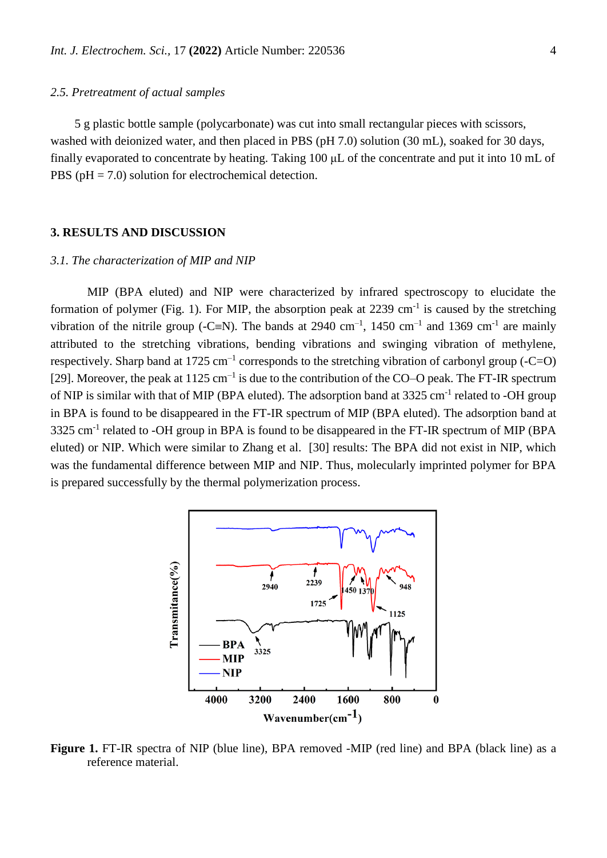## *2.5. Pretreatment of actual samples*

5 g plastic bottle sample (polycarbonate) was cut into small rectangular pieces with scissors, washed with deionized water, and then placed in PBS (pH 7.0) solution (30 mL), soaked for 30 days, finally evaporated to concentrate by heating. Taking 100 μL of the concentrate and put it into 10 mL of PBS ( $pH = 7.0$ ) solution for electrochemical detection.

# **3. RESULTS AND DISCUSSION**

#### *3.1. The characterization of MIP and NIP*

MIP (BPA eluted) and NIP were characterized by infrared spectroscopy to elucidate the formation of polymer (Fig. 1). For MIP, the absorption peak at  $2239 \text{ cm}^{-1}$  is caused by the stretching vibration of the nitrile group (-C=N). The bands at 2940 cm<sup>-1</sup>, 1450 cm<sup>-1</sup> and 1369 cm<sup>-1</sup> are mainly attributed to the stretching vibrations, bending vibrations and swinging vibration of methylene, respectively. Sharp band at 1725 cm<sup>-1</sup> corresponds to the stretching vibration of carbonyl group (-C=O) [29]. Moreover, the peak at  $1125 \text{ cm}^{-1}$  is due to the contribution of the CO–O peak. The FT-IR spectrum of NIP is similar with that of MIP (BPA eluted). The adsorption band at 3325 cm<sup>-1</sup> related to -OH group in BPA is found to be disappeared in the FT-IR spectrum of MIP (BPA eluted). The adsorption band at 3325 cm<sup>-1</sup> related to -OH group in BPA is found to be disappeared in the FT-IR spectrum of MIP (BPA eluted) or NIP. Which were similar to Zhang et al. [30] results: The BPA did not exist in NIP, which was the fundamental difference between MIP and NIP. Thus, molecularly imprinted polymer for BPA is prepared successfully by the thermal polymerization process.



**Figure 1.** FT-IR spectra of NIP (blue line), BPA removed -MIP (red line) and BPA (black line) as a reference material.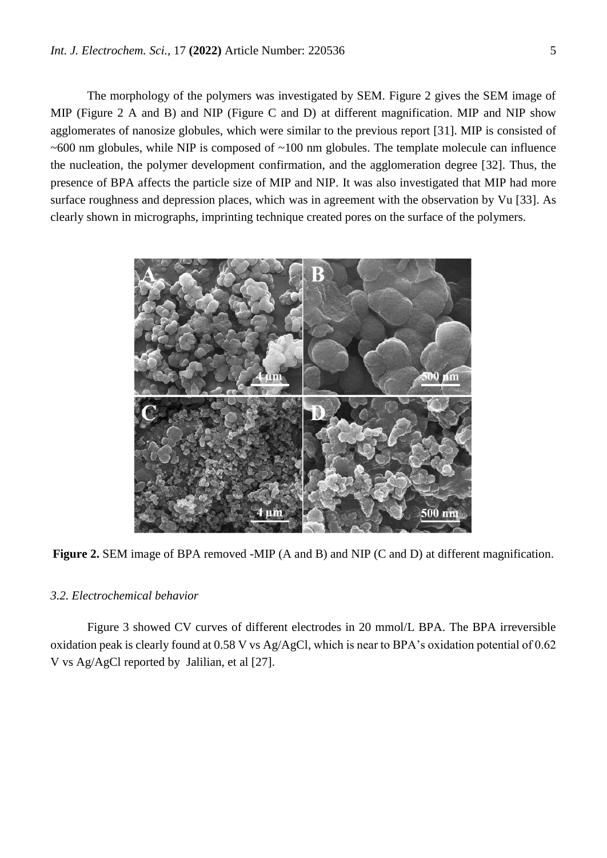The morphology of the polymers was investigated by SEM. Figure 2 gives the SEM image of MIP (Figure 2 A and B) and NIP (Figure C and D) at different magnification. MIP and NIP show agglomerates of nanosize globules, which were similar to the previous report [31]. MIP is consisted of  $\sim 600$  nm globules, while NIP is composed of  $\sim 100$  nm globules. The template molecule can influence the nucleation, the polymer development confirmation, and the agglomeration degree [32]. Thus, the presence of BPA affects the particle size of MIP and NIP. It was also investigated that MIP had more surface roughness and depression places, which was in agreement with the observation by Vu [33]. As clearly shown in micrographs, imprinting technique created pores on the surface of the polymers.



**Figure 2.** SEM image of BPA removed -MIP (A and B) and NIP (C and D) at different magnification.

# *3.2. Electrochemical behavior*

Figure 3 showed CV curves of different electrodes in 20 mmol/L BPA. The BPA irreversible oxidation peak is clearly found at 0.58 V vs Ag/AgCl, which is near to BPA's oxidation potential of 0.62 V vs Ag/AgCl reported by Jalilian, et al [27].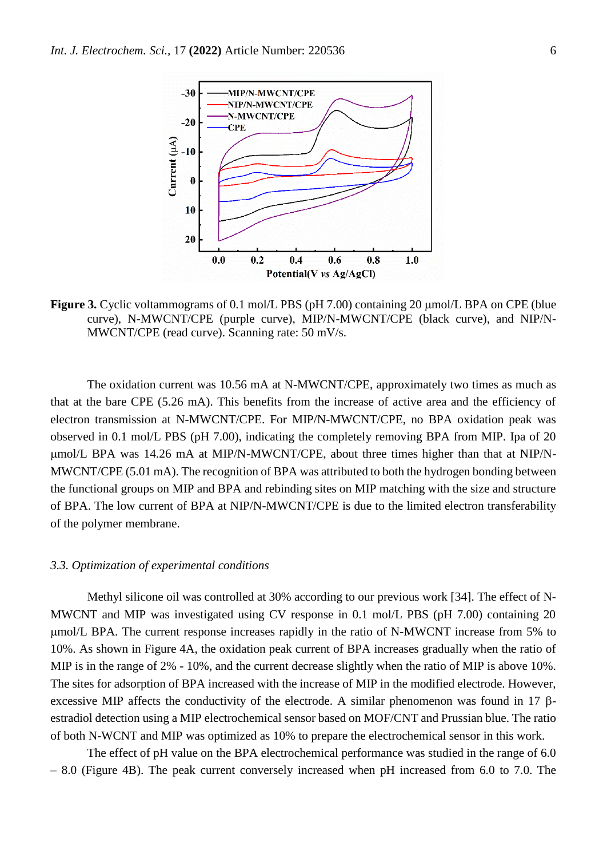

**Figure 3.** Cyclic voltammograms of 0.1 mol/L PBS (pH 7.00) containing 20  $\mu$ mol/L BPA on CPE (blue curve), N-MWCNT/CPE (purple curve), MIP/N-MWCNT/CPE (black curve), and NIP/N-MWCNT/CPE (read curve). Scanning rate: 50 mV/s.

The oxidation current was 10.56 mA at N-MWCNT/CPE, approximately two times as much as that at the bare CPE (5.26 mA). This benefits from the increase of active area and the efficiency of electron transmission at N-MWCNT/CPE. For MIP/N-MWCNT/CPE, no BPA oxidation peak was observed in 0.1 mol/L PBS (pH 7.00), indicating the completely removing BPA from MIP. Ipa of 20 mol/L BPA was 14.26 mA at MIP/N-MWCNT/CPE, about three times higher than that at NIP/N-MWCNT/CPE (5.01 mA). The recognition of BPA was attributed to both the hydrogen bonding between the functional groups on MIP and BPA and rebinding sites on MIP matching with the size and structure of BPA. The low current of BPA at NIP/N-MWCNT/CPE is due to the limited electron transferability of the polymer membrane.

## *3.3. Optimization of experimental conditions*

Methyl silicone oil was controlled at 30% according to our previous work [34]. The effect of N-MWCNT and MIP was investigated using CV response in 0.1 mol/L PBS (pH 7.00) containing 20 mol/L BPA. The current response increases rapidly in the ratio of N-MWCNT increase from 5% to 10%. As shown in Figure 4A, the oxidation peak current of BPA increases gradually when the ratio of MIP is in the range of 2% - 10%, and the current decrease slightly when the ratio of MIP is above 10%. The sites for adsorption of BPA increased with the increase of MIP in the modified electrode. However, excessive MIP affects the conductivity of the electrode. A similar phenomenon was found in 17  $\beta$ estradiol detection using a MIP electrochemical sensor based on MOF/CNT and Prussian blue. The ratio of both N-WCNT and MIP was optimized as 10% to prepare the electrochemical sensor in this work.

The effect of pH value on the BPA electrochemical performance was studied in the range of 6.0 – 8.0 (Figure 4B). The peak current conversely increased when pH increased from 6.0 to 7.0. The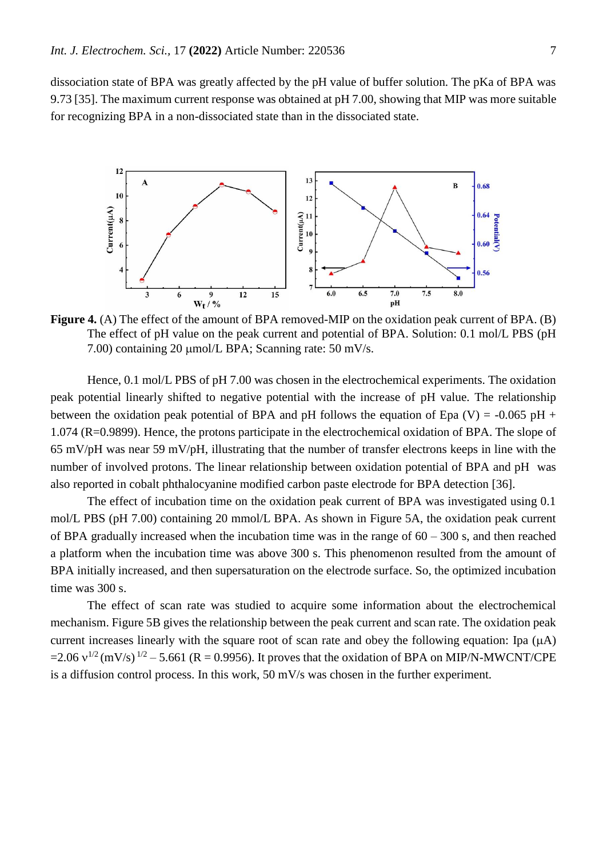dissociation state of BPA was greatly affected by the pH value of buffer solution. The pKa of BPA was 9.73 [35]. The maximum current response was obtained at pH 7.00, showing that MIP was more suitable for recognizing BPA in a non-dissociated state than in the dissociated state.



**Figure 4.** (A) The effect of the amount of BPA removed-MIP on the oxidation peak current of BPA. (B) The effect of pH value on the peak current and potential of BPA. Solution: 0.1 mol/L PBS (pH 7.00) containing 20  $\mu$ mol/L BPA; Scanning rate: 50 mV/s.

Hence, 0.1 mol/L PBS of pH 7.00 was chosen in the electrochemical experiments. The oxidation peak potential linearly shifted to negative potential with the increase of pH value. The relationship between the oxidation peak potential of BPA and pH follows the equation of Epa (V) = -0.065 pH + 1.074 (R=0.9899). Hence, the protons participate in the electrochemical oxidation of BPA. The slope of 65 mV/pH was near 59 mV/pH, illustrating that the number of transfer electrons keeps in line with the number of involved protons. The linear relationship between oxidation potential of BPA and pH was also reported in cobalt phthalocyanine modified carbon paste electrode for BPA detection [36].

The effect of incubation time on the oxidation peak current of BPA was investigated using 0.1 mol/L PBS (pH 7.00) containing 20 mmol/L BPA. As shown in Figure 5A, the oxidation peak current of BPA gradually increased when the incubation time was in the range of  $60 - 300$  s, and then reached a platform when the incubation time was above 300 s. This phenomenon resulted from the amount of BPA initially increased, and then supersaturation on the electrode surface. So, the optimized incubation time was 300 s.

The effect of scan rate was studied to acquire some information about the electrochemical mechanism. Figure 5B gives the relationship between the peak current and scan rate. The oxidation peak current increases linearly with the square root of scan rate and obey the following equation: Ipa  $(\mu A)$ =2.06  $v^{1/2}$  (mV/s)  $^{1/2}$  – 5.661 (R = 0.9956). It proves that the oxidation of BPA on MIP/N-MWCNT/CPE is a diffusion control process. In this work, 50 mV/s was chosen in the further experiment.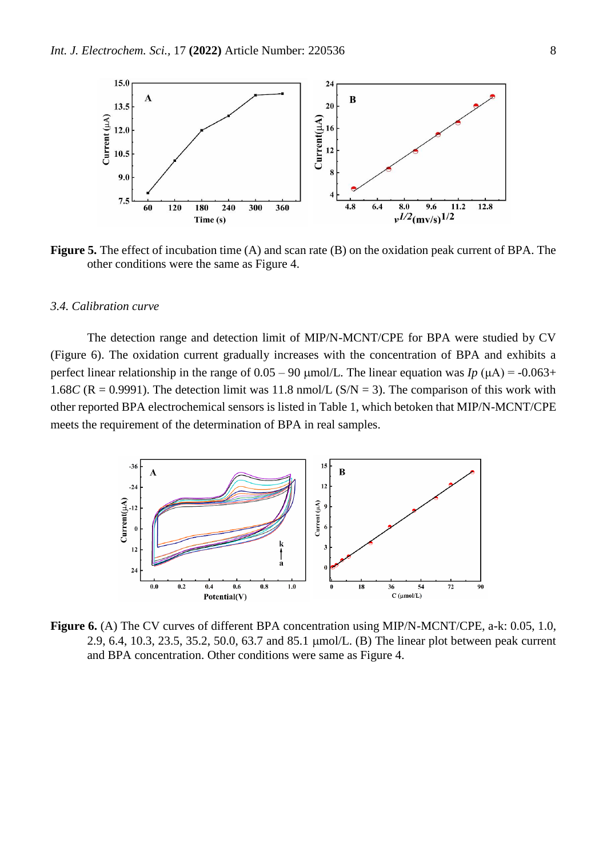

**Figure 5.** The effect of incubation time (A) and scan rate (B) on the oxidation peak current of BPA. The other conditions were the same as Figure 4.

## *3.4. Calibration curve*

The detection range and detection limit of MIP/N-MCNT/CPE for BPA were studied by CV (Figure 6). The oxidation current gradually increases with the concentration of BPA and exhibits a perfect linear relationship in the range of  $0.05 - 90 \mu$ mol/L. The linear equation was *Ip* ( $\mu$ A) = -0.063+ 1.68*C* ( $R = 0.9991$ ). The detection limit was 11.8 nmol/L ( $S/N = 3$ ). The comparison of this work with other reported BPA electrochemical sensors is listed in Table 1, which betoken that MIP/N-MCNT/CPE meets the requirement of the determination of BPA in real samples.



**Figure 6.** (A) The CV curves of different BPA concentration using MIP/N-MCNT/CPE, a-k: 0.05, 1.0, 2.9, 6.4, 10.3, 23.5, 35.2, 50.0, 63.7 and 85.1 µmol/L. (B) The linear plot between peak current and BPA concentration. Other conditions were same as Figure 4.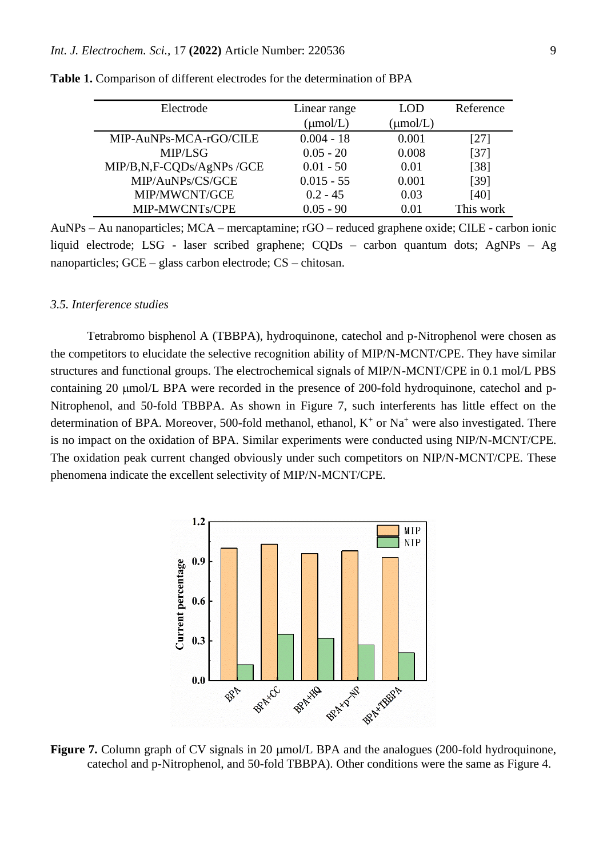| Electrode                 | Linear range  | LOD.         | Reference |
|---------------------------|---------------|--------------|-----------|
|                           | $(\mu$ mol/L) | $\mu$ mol/L) |           |
| MIP-AuNPs-MCA-rGO/CILE    | $0.004 - 18$  | 0.001        | [27]      |
| MIP/LSG                   | $0.05 - 20$   | 0.008        | $[37]$    |
| MIP/B,N,F-CQDs/AgNPs /GCE | $0.01 - 50$   | 0.01         | $[38]$    |
| MIP/AuNPs/CS/GCE          | $0.015 - 55$  | 0.001        | $[39]$    |
| MIP/MWCNT/GCE             | $0.2 - 45$    | 0.03         | [40]      |
| MIP-MWCNTs/CPE            | $0.05 - 90$   | 0.01         | This work |

**Table 1.** Comparison of different electrodes for the determination of BPA

AuNPs – Au nanoparticles; MCA – mercaptamine; rGO – reduced graphene oxide; CILE - carbon ionic liquid electrode; LSG - laser scribed graphene; CQDs – carbon quantum dots; AgNPs – Ag nanoparticles; GCE – glass carbon electrode; CS – chitosan.

#### *3.5. Interference studies*

Tetrabromo bisphenol A (TBBPA), hydroquinone, catechol and p-Nitrophenol were chosen as the competitors to elucidate the selective recognition ability of MIP/N-MCNT/CPE. They have similar structures and functional groups. The electrochemical signals of MIP/N-MCNT/CPE in 0.1 mol/L PBS containing 20 µmol/L BPA were recorded in the presence of 200-fold hydroquinone, catechol and p-Nitrophenol, and 50-fold TBBPA. As shown in Figure 7, such interferents has little effect on the determination of BPA. Moreover, 500-fold methanol, ethanol,  $K^+$  or  $Na^+$  were also investigated. There is no impact on the oxidation of BPA. Similar experiments were conducted using NIP/N-MCNT/CPE. The oxidation peak current changed obviously under such competitors on NIP/N-MCNT/CPE. These phenomena indicate the excellent selectivity of MIP/N-MCNT/CPE.



**Figure 7.** Column graph of CV signals in 20  $\mu$ mol/L BPA and the analogues (200-fold hydroquinone, catechol and p-Nitrophenol, and 50-fold TBBPA). Other conditions were the same as Figure 4.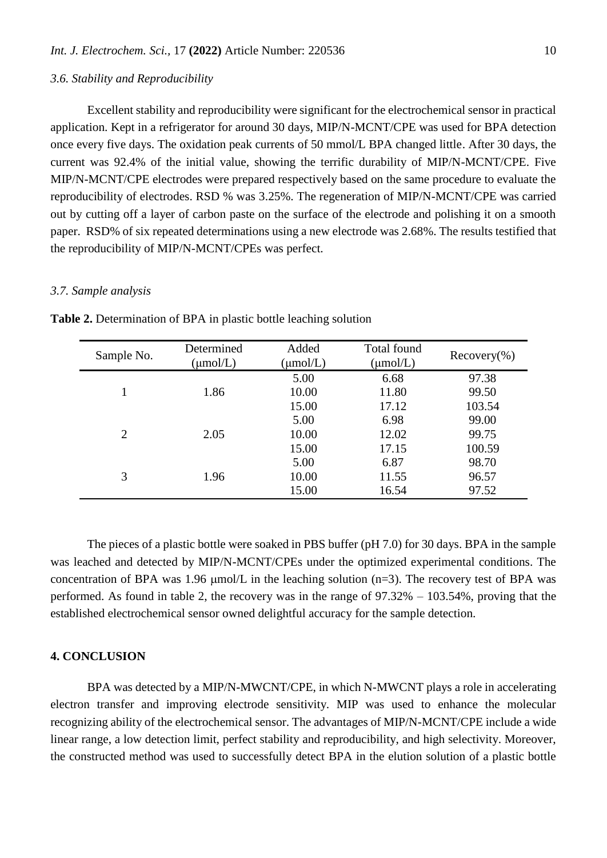## *3.6. Stability and Reproducibility*

Excellent stability and reproducibility were significant for the electrochemical sensor in practical application. Kept in a refrigerator for around 30 days, MIP/N-MCNT/CPE was used for BPA detection once every five days. The oxidation peak currents of 50 mmol/L BPA changed little. After 30 days, the current was 92.4% of the initial value, showing the terrific durability of MIP/N-MCNT/CPE. Five MIP/N-MCNT/CPE electrodes were prepared respectively based on the same procedure to evaluate the reproducibility of electrodes. RSD % was 3.25%. The regeneration of MIP/N-MCNT/CPE was carried out by cutting off a layer of carbon paste on the surface of the electrode and polishing it on a smooth paper. RSD% of six repeated determinations using a new electrode was 2.68%. The results testified that the reproducibility of MIP/N-MCNT/CPEs was perfect.

#### *3.7. Sample analysis*

| Sample No. | Determined<br>$(\mu$ mol/L) | Added<br>$(\mu$ mol/L) | Total found<br>$(\mu$ mol/L) | $Recovery(\% )$ |
|------------|-----------------------------|------------------------|------------------------------|-----------------|
| 1.86       |                             | 5.00                   | 6.68                         | 97.38           |
|            |                             | 10.00                  | 11.80                        | 99.50           |
|            | 15.00                       | 17.12                  | 103.54                       |                 |
| 2<br>2.05  |                             | 5.00                   | 6.98                         | 99.00           |
|            |                             | 10.00                  | 12.02                        | 99.75           |
|            | 15.00                       | 17.15                  | 100.59                       |                 |
| 3<br>1.96  | 5.00                        | 6.87                   | 98.70                        |                 |
|            | 10.00                       | 11.55                  | 96.57                        |                 |
|            | 15.00                       | 16.54                  | 97.52                        |                 |

**Table 2.** Determination of BPA in plastic bottle leaching solution

The pieces of a plastic bottle were soaked in PBS buffer (pH 7.0) for 30 days. BPA in the sample was leached and detected by MIP/N-MCNT/CPEs under the optimized experimental conditions. The concentration of BPA was 1.96  $\mu$ mol/L in the leaching solution (n=3). The recovery test of BPA was performed. As found in table 2, the recovery was in the range of 97.32% – 103.54%, proving that the established electrochemical sensor owned delightful accuracy for the sample detection.

# **4. CONCLUSION**

BPA was detected by a MIP/N-MWCNT/CPE, in which N-MWCNT plays a role in accelerating electron transfer and improving electrode sensitivity. MIP was used to enhance the molecular recognizing ability of the electrochemical sensor. The advantages of MIP/N-MCNT/CPE include a wide linear range, a low detection limit, perfect stability and reproducibility, and high selectivity. Moreover, the constructed method was used to successfully detect BPA in the elution solution of a plastic bottle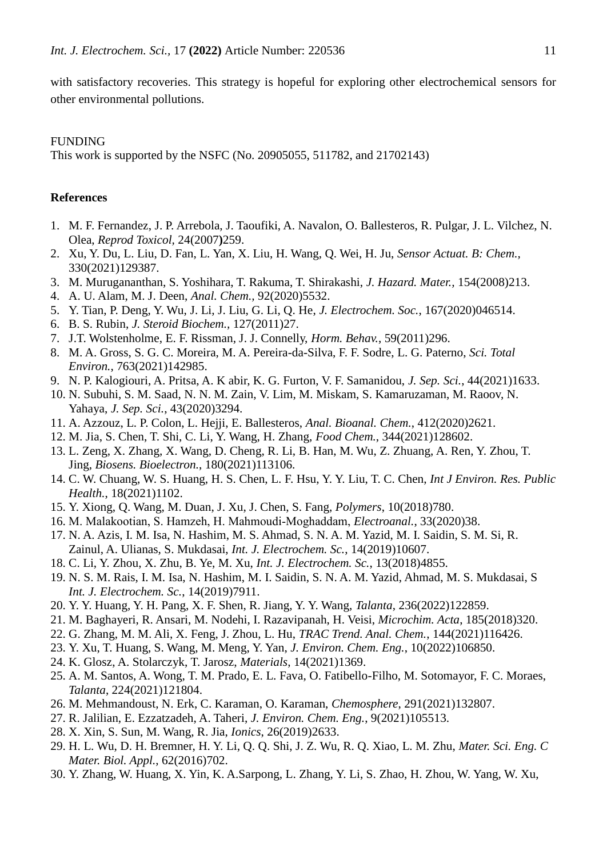with satisfactory recoveries. This strategy is hopeful for exploring other electrochemical sensors for other environmental pollutions.

# FUNDING

This work is supported by the NSFC (No. 20905055, 511782, and 21702143)

# **References**

- 1. M. F. Fernandez, J. P. Arrebola, J. Taoufiki, A. Navalon, O. Ballesteros, R. Pulgar, J. L. Vilchez, N. Olea, *Reprod Toxicol,* 24(2007**)**259.
- 2. Xu, Y. Du, L. Liu, D. Fan, L. Yan, X. Liu, H. Wang, Q. Wei, H. Ju, *Sensor Actuat. B: Chem.,*  330(2021)129387.
- 3. M. Murugananthan, S. Yoshihara, T. Rakuma, T. Shirakashi, *J. Hazard. Mater.,* 154(2008)213.
- 4. A. U. Alam, M. J. Deen, *Anal. Chem.,* 92(2020)5532.
- 5. Y. Tian, P. Deng, Y. Wu, J. Li, J. Liu, G. Li, Q. He, *J. Electrochem. Soc.*, 167(2020)046514.
- 6. B. S. Rubin, *J. Steroid Biochem.,* 127(2011)27.
- 7. J.T. Wolstenholme, E. F. Rissman, J. J. Connelly, *Horm. Behav.*, 59(2011)296.
- 8. M. A. Gross, S. G. C. Moreira, M. A. Pereira-da-Silva, F. F. Sodre, L. G. Paterno, *Sci. Total Environ.*, 763(2021)142985.
- 9. N. P. Kalogiouri, A. Pritsa, A. K abir, K. G. Furton, V. F. Samanidou, *J. Sep. Sci.*, 44(2021)1633.
- 10. N. Subuhi, S. M. Saad, N. N. M. Zain, V. Lim, M. Miskam, S. Kamaruzaman, M. Raoov, N. Yahaya, *J. Sep. Sci.*, 43(2020)3294.
- 11. A. Azzouz, L. P. Colon, L. Hejji, E. Ballesteros, *Anal. Bioanal. Chem.*, 412(2020)2621.
- 12. M. Jia, S. Chen, T. Shi, C. Li, Y. Wang, H. Zhang, *Food Chem.*, 344(2021)128602.
- 13. L. Zeng, X. Zhang, X. Wang, D. Cheng, R. Li, B. Han, M. Wu, Z. Zhuang, A. Ren, Y. Zhou, T. Jing, *Biosens. Bioelectron.*, 180(2021)113106.
- 14. C. W. Chuang, W. S. Huang, H. S. Chen, L. F. Hsu, Y. Y. Liu, T. C. Chen, *Int J Environ. Res. Public Health.*, 18(2021)1102.
- 15. Y. Xiong, Q. Wang, M. Duan, J. Xu, J. Chen, S. Fang, *Polymers*, 10(2018)780.
- 16. M. Malakootian, S. Hamzeh, H. Mahmoudi‐Moghaddam, *Electroanal.*, 33(2020)38.
- 17. N. A. Azis, I. M. Isa, N. Hashim, M. S. Ahmad, S. N. A. M. Yazid, M. I. Saidin, S. M. Si, R. Zainul, A. Ulianas, S. Mukdasai, *Int. J. Electrochem. Sc.*, 14(2019)10607.
- 18. C. Li, Y. Zhou, X. Zhu, B. Ye, M. Xu, *Int. J. Electrochem. Sc.*, 13(2018)4855.
- 19. N. S. M. Rais, I. M. Isa, N. Hashim, M. I. Saidin, S. N. A. M. Yazid, Ahmad, M. S. Mukdasai, S *Int. J. Electrochem. Sc.*, 14(2019)7911.
- 20. Y. Y. Huang, Y. H. Pang, X. F. Shen, R. Jiang, Y. Y. Wang, *Talanta*, 236(2022)122859.
- 21. M. Baghayeri, R. Ansari, M. Nodehi, I. Razavipanah, H. Veisi, *Microchim. Acta*, 185(2018)320.
- 22. G. Zhang, M. M. Ali, X. Feng, J. Zhou, L. Hu, *TRAC Trend. Anal. Chem.*, 144(2021)116426.
- 23. Y. Xu, T. Huang, S. Wang, M. Meng, Y. Yan, *J. Environ. Chem. Eng.*, 10(2022)106850.
- 24. K. Glosz, A. Stolarczyk, T. Jarosz, *Materials*, 14(2021)1369.
- 25. A. M. Santos, A. Wong, T. M. Prado, E. L. Fava, O. Fatibello-Filho, M. Sotomayor, F. C. Moraes, *Talanta*, 224(2021)121804.
- 26. M. Mehmandoust, N. Erk, C. Karaman, O. Karaman, *Chemosphere*, 291(2021)132807.
- 27. R. Jalilian, E. Ezzatzadeh, A. Taheri, *J. Environ. Chem. Eng.*, 9(2021)105513.
- 28. X. Xin, S. Sun, M. Wang, R. Jia, *Ionics*, 26(2019)2633.
- 29. H. L. Wu, D. H. Bremner, H. Y. Li, Q. Q. Shi, J. Z. Wu, R. Q. Xiao, L. M. Zhu, *Mater. Sci. Eng. C Mater. Biol. Appl.*, 62(2016)702.
- 30. Y. Zhang, W. Huang, X. Yin, K. A.Sarpong, L. Zhang, Y. Li, S. Zhao, H. Zhou, W. Yang, W. Xu,